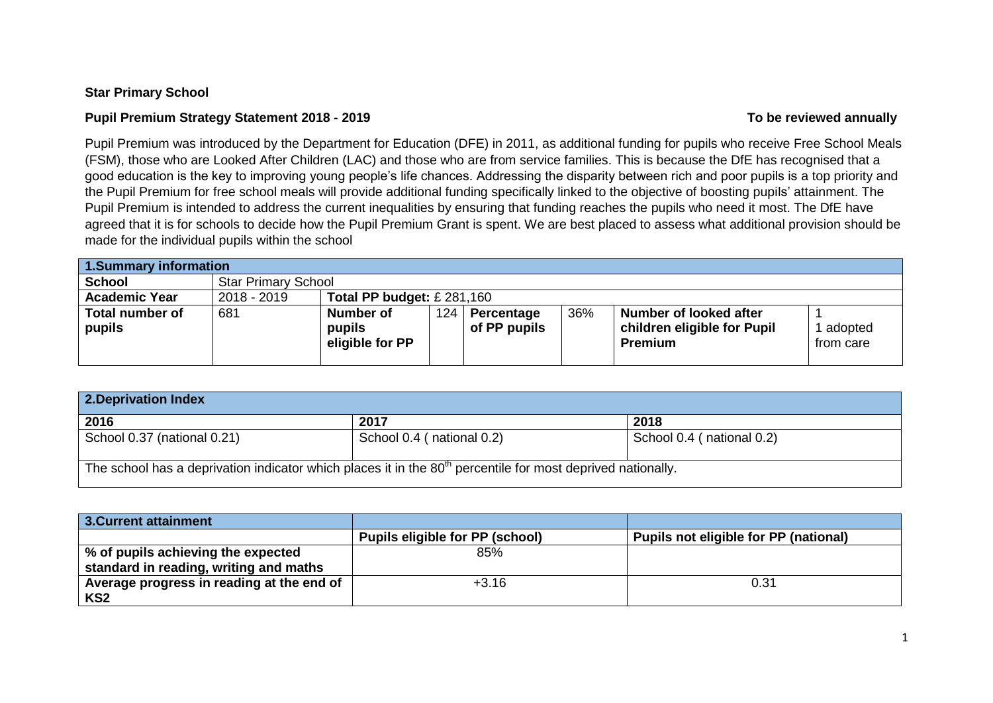## **Star Primary School**

# **Pupil Premium Strategy Statement 2018 - 2019 To be reviewed annually**

Pupil Premium was introduced by the Department for Education (DFE) in 2011, as additional funding for pupils who receive Free School Meals (FSM), those who are Looked After Children (LAC) and those who are from service families. This is because the DfE has recognised that a good education is the key to improving young people's life chances. Addressing the disparity between rich and poor pupils is a top priority and the Pupil Premium for free school meals will provide additional funding specifically linked to the objective of boosting pupils' attainment. The Pupil Premium is intended to address the current inequalities by ensuring that funding reaches the pupils who need it most. The DfE have agreed that it is for schools to decide how the Pupil Premium Grant is spent. We are best placed to assess what additional provision should be made for the individual pupils within the school

| 1. Summary information           |                            |                                        |     |                            |     |                                                                         |                      |
|----------------------------------|----------------------------|----------------------------------------|-----|----------------------------|-----|-------------------------------------------------------------------------|----------------------|
| <b>School</b>                    | <b>Star Primary School</b> |                                        |     |                            |     |                                                                         |                      |
| <b>Academic Year</b>             | 2018 - 2019                | Total PP budget: $£$ 281,160           |     |                            |     |                                                                         |                      |
| <b>Total number of</b><br>pupils | 681                        | Number of<br>pupils<br>eligible for PP | 124 | Percentage<br>of PP pupils | 36% | Number of looked after<br>children eligible for Pupil<br><b>Premium</b> | adopted<br>from care |

| 2. Deprivation Index        |                                                                                                               |                           |  |  |  |
|-----------------------------|---------------------------------------------------------------------------------------------------------------|---------------------------|--|--|--|
| 2016                        | 2017                                                                                                          | 2018                      |  |  |  |
| School 0.37 (national 0.21) | School 0.4 (national 0.2)                                                                                     | School 0.4 (national 0.2) |  |  |  |
|                             | The school has a deprivation indicator which places it in the $80th$ percentile for most deprived nationally. |                           |  |  |  |

| 3. Current attainment                     |                                        |                                       |
|-------------------------------------------|----------------------------------------|---------------------------------------|
|                                           | <b>Pupils eligible for PP (school)</b> | Pupils not eligible for PP (national) |
| % of pupils achieving the expected        | 85%                                    |                                       |
| standard in reading, writing and maths    |                                        |                                       |
| Average progress in reading at the end of | $+3.16$                                | 0.31                                  |
| KS <sub>2</sub>                           |                                        |                                       |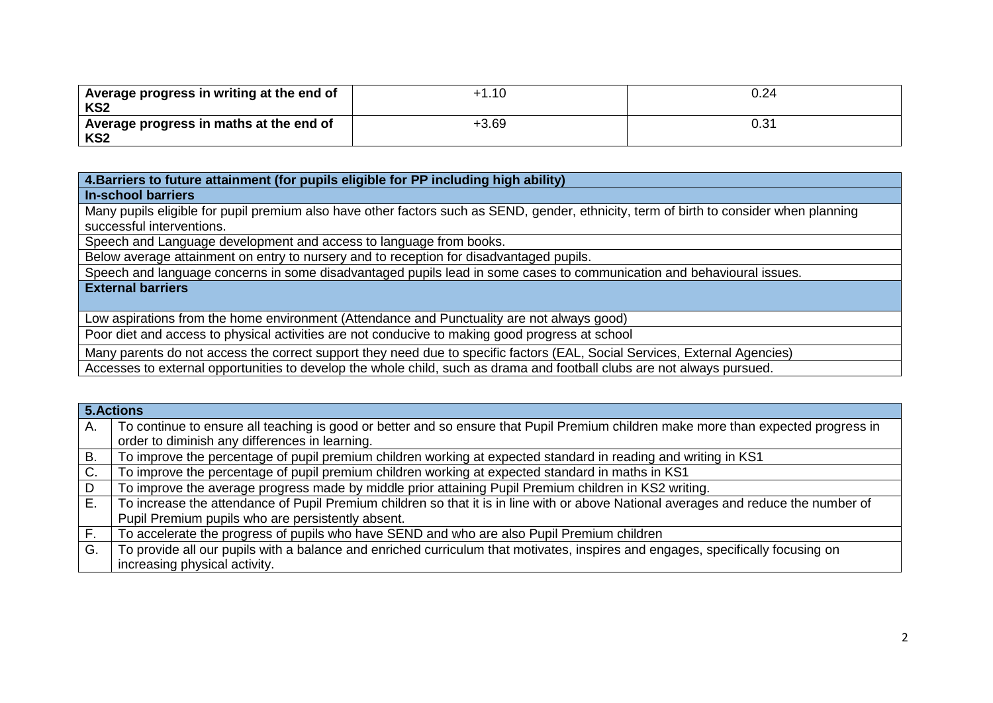| Average progress in writing at the end of<br>KS2 | $+1.10$ | 0.24           |
|--------------------------------------------------|---------|----------------|
| Average progress in maths at the end of<br>KS2   | $+3.69$ | $0.3^{\prime}$ |

**4.Barriers to future attainment (for pupils eligible for PP including high ability)**

## **In-school barriers**

Many pupils eligible for pupil premium also have other factors such as SEND, gender, ethnicity, term of birth to consider when planning successful interventions.

Speech and Language development and access to language from books.

Below average attainment on entry to nursery and to reception for disadvantaged pupils.

Speech and language concerns in some disadvantaged pupils lead in some cases to communication and behavioural issues.

## **External barriers**

Low aspirations from the home environment (Attendance and Punctuality are not always good)

Poor diet and access to physical activities are not conducive to making good progress at school

Many parents do not access the correct support they need due to specific factors (EAL, Social Services, External Agencies)

Accesses to external opportunities to develop the whole child, such as drama and football clubs are not always pursued.

|    | 5. Actions                                                                                                                          |
|----|-------------------------------------------------------------------------------------------------------------------------------------|
| Α. | To continue to ensure all teaching is good or better and so ensure that Pupil Premium children make more than expected progress in  |
|    | order to diminish any differences in learning.                                                                                      |
| B. | To improve the percentage of pupil premium children working at expected standard in reading and writing in KS1                      |
| C. | To improve the percentage of pupil premium children working at expected standard in maths in KS1                                    |
| D  | To improve the average progress made by middle prior attaining Pupil Premium children in KS2 writing.                               |
| Е. | To increase the attendance of Pupil Premium children so that it is in line with or above National averages and reduce the number of |
|    | Pupil Premium pupils who are persistently absent.                                                                                   |
| F. | To accelerate the progress of pupils who have SEND and who are also Pupil Premium children                                          |
| G. | To provide all our pupils with a balance and enriched curriculum that motivates, inspires and engages, specifically focusing on     |
|    | increasing physical activity.                                                                                                       |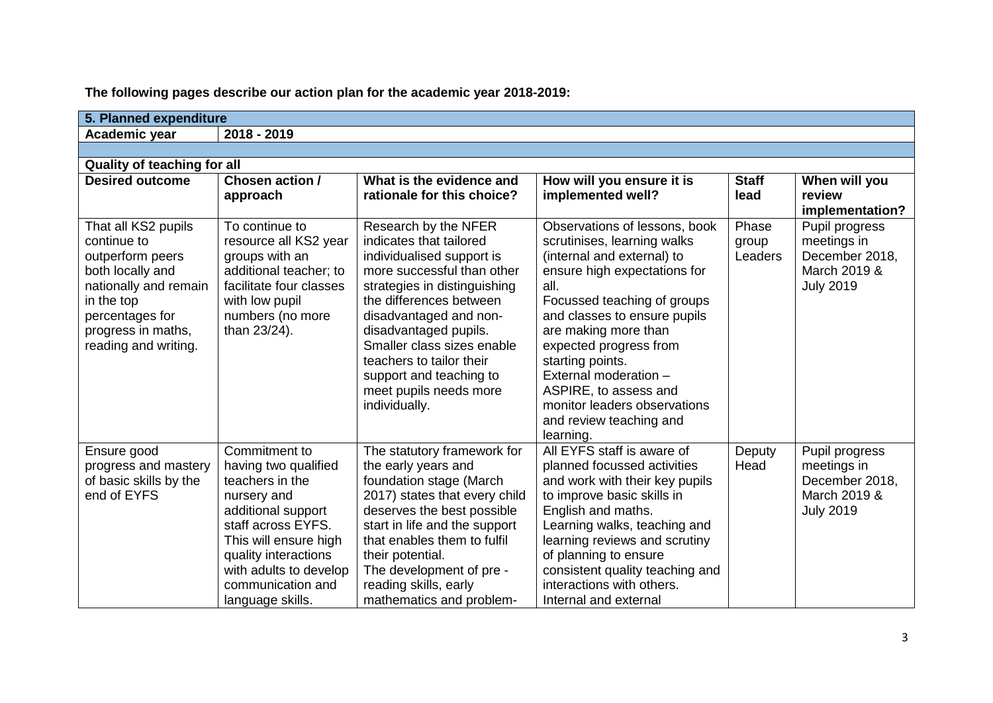| 5. Planned expenditure                                                                                                                                                             |                                                                                                                                                                                                                                         |                                                                                                                                                                                                                                                                                                                                                          |                                                                                                                                                                                                                                                                                                                                                                                                   |                           |                                                                                     |
|------------------------------------------------------------------------------------------------------------------------------------------------------------------------------------|-----------------------------------------------------------------------------------------------------------------------------------------------------------------------------------------------------------------------------------------|----------------------------------------------------------------------------------------------------------------------------------------------------------------------------------------------------------------------------------------------------------------------------------------------------------------------------------------------------------|---------------------------------------------------------------------------------------------------------------------------------------------------------------------------------------------------------------------------------------------------------------------------------------------------------------------------------------------------------------------------------------------------|---------------------------|-------------------------------------------------------------------------------------|
| Academic year                                                                                                                                                                      | 2018 - 2019                                                                                                                                                                                                                             |                                                                                                                                                                                                                                                                                                                                                          |                                                                                                                                                                                                                                                                                                                                                                                                   |                           |                                                                                     |
|                                                                                                                                                                                    |                                                                                                                                                                                                                                         |                                                                                                                                                                                                                                                                                                                                                          |                                                                                                                                                                                                                                                                                                                                                                                                   |                           |                                                                                     |
| <b>Quality of teaching for all</b>                                                                                                                                                 |                                                                                                                                                                                                                                         |                                                                                                                                                                                                                                                                                                                                                          |                                                                                                                                                                                                                                                                                                                                                                                                   |                           |                                                                                     |
| <b>Desired outcome</b>                                                                                                                                                             | Chosen action /<br>approach                                                                                                                                                                                                             | What is the evidence and<br>rationale for this choice?                                                                                                                                                                                                                                                                                                   | How will you ensure it is<br>implemented well?                                                                                                                                                                                                                                                                                                                                                    | <b>Staff</b><br>lead      | When will you<br>review<br>implementation?                                          |
| That all KS2 pupils<br>continue to<br>outperform peers<br>both locally and<br>nationally and remain<br>in the top<br>percentages for<br>progress in maths,<br>reading and writing. | To continue to<br>resource all KS2 year<br>groups with an<br>additional teacher; to<br>facilitate four classes<br>with low pupil<br>numbers (no more<br>than 23/24).                                                                    | Research by the NFER<br>indicates that tailored<br>individualised support is<br>more successful than other<br>strategies in distinguishing<br>the differences between<br>disadvantaged and non-<br>disadvantaged pupils.<br>Smaller class sizes enable<br>teachers to tailor their<br>support and teaching to<br>meet pupils needs more<br>individually. | Observations of lessons, book<br>scrutinises, learning walks<br>(internal and external) to<br>ensure high expectations for<br>all.<br>Focussed teaching of groups<br>and classes to ensure pupils<br>are making more than<br>expected progress from<br>starting points.<br>External moderation -<br>ASPIRE, to assess and<br>monitor leaders observations<br>and review teaching and<br>learning. | Phase<br>group<br>Leaders | Pupil progress<br>meetings in<br>December 2018,<br>March 2019 &<br><b>July 2019</b> |
| Ensure good<br>progress and mastery<br>of basic skills by the<br>end of EYFS                                                                                                       | Commitment to<br>having two qualified<br>teachers in the<br>nursery and<br>additional support<br>staff across EYFS.<br>This will ensure high<br>quality interactions<br>with adults to develop<br>communication and<br>language skills. | The statutory framework for<br>the early years and<br>foundation stage (March<br>2017) states that every child<br>deserves the best possible<br>start in life and the support<br>that enables them to fulfil<br>their potential.<br>The development of pre -<br>reading skills, early<br>mathematics and problem-                                        | All EYFS staff is aware of<br>planned focussed activities<br>and work with their key pupils<br>to improve basic skills in<br>English and maths.<br>Learning walks, teaching and<br>learning reviews and scrutiny<br>of planning to ensure<br>consistent quality teaching and<br>interactions with others.<br>Internal and external                                                                | Deputy<br>Head            | Pupil progress<br>meetings in<br>December 2018,<br>March 2019 &<br><b>July 2019</b> |

**The following pages describe our action plan for the academic year 2018-2019:**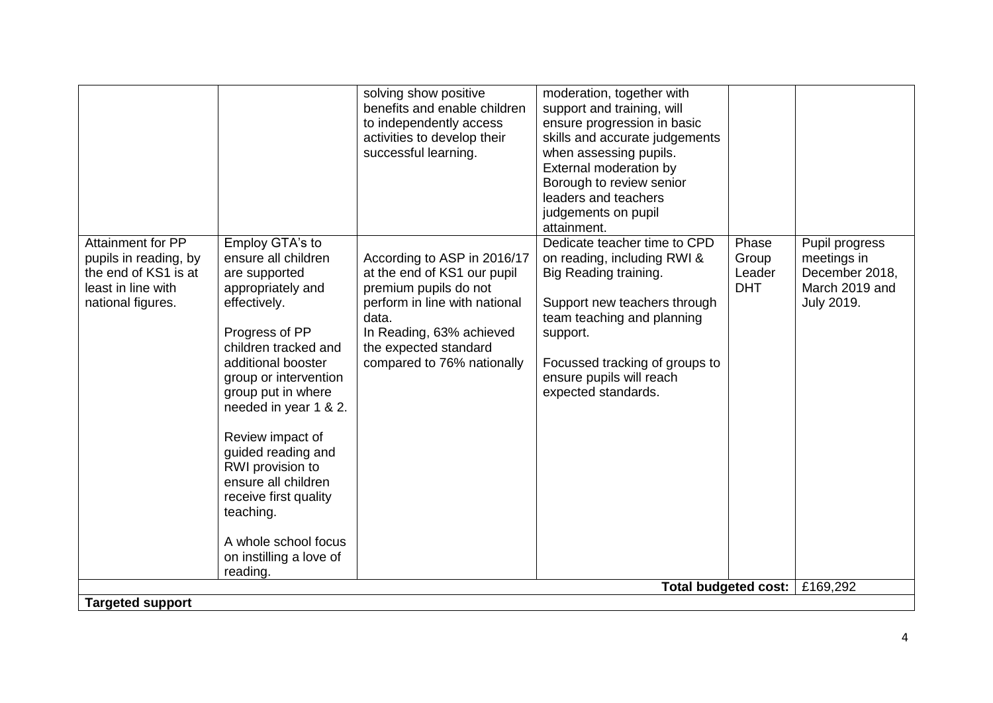|                                                                                                                      |                                                                                                                                                                                                                                                                                                                                                                                                                                | solving show positive<br>benefits and enable children<br>to independently access<br>activities to develop their<br>successful learning.                                                                          | moderation, together with<br>support and training, will<br>ensure progression in basic<br>skills and accurate judgements<br>when assessing pupils.<br>External moderation by<br>Borough to review senior<br>leaders and teachers<br>judgements on pupil<br>attainment. |                                        |                                                                                 |
|----------------------------------------------------------------------------------------------------------------------|--------------------------------------------------------------------------------------------------------------------------------------------------------------------------------------------------------------------------------------------------------------------------------------------------------------------------------------------------------------------------------------------------------------------------------|------------------------------------------------------------------------------------------------------------------------------------------------------------------------------------------------------------------|------------------------------------------------------------------------------------------------------------------------------------------------------------------------------------------------------------------------------------------------------------------------|----------------------------------------|---------------------------------------------------------------------------------|
| <b>Attainment for PP</b><br>pupils in reading, by<br>the end of KS1 is at<br>least in line with<br>national figures. | Employ GTA's to<br>ensure all children<br>are supported<br>appropriately and<br>effectively.<br>Progress of PP<br>children tracked and<br>additional booster<br>group or intervention<br>group put in where<br>needed in year 1 & 2.<br>Review impact of<br>guided reading and<br>RWI provision to<br>ensure all children<br>receive first quality<br>teaching.<br>A whole school focus<br>on instilling a love of<br>reading. | According to ASP in 2016/17<br>at the end of KS1 our pupil<br>premium pupils do not<br>perform in line with national<br>data.<br>In Reading, 63% achieved<br>the expected standard<br>compared to 76% nationally | Dedicate teacher time to CPD<br>on reading, including RWI &<br>Big Reading training.<br>Support new teachers through<br>team teaching and planning<br>support.<br>Focussed tracking of groups to<br>ensure pupils will reach<br>expected standards.                    | Phase<br>Group<br>Leader<br><b>DHT</b> | Pupil progress<br>meetings in<br>December 2018,<br>March 2019 and<br>July 2019. |
|                                                                                                                      |                                                                                                                                                                                                                                                                                                                                                                                                                                |                                                                                                                                                                                                                  | <b>Total budgeted cost:</b>                                                                                                                                                                                                                                            |                                        | £169,292                                                                        |
| <b>Targeted support</b>                                                                                              |                                                                                                                                                                                                                                                                                                                                                                                                                                |                                                                                                                                                                                                                  |                                                                                                                                                                                                                                                                        |                                        |                                                                                 |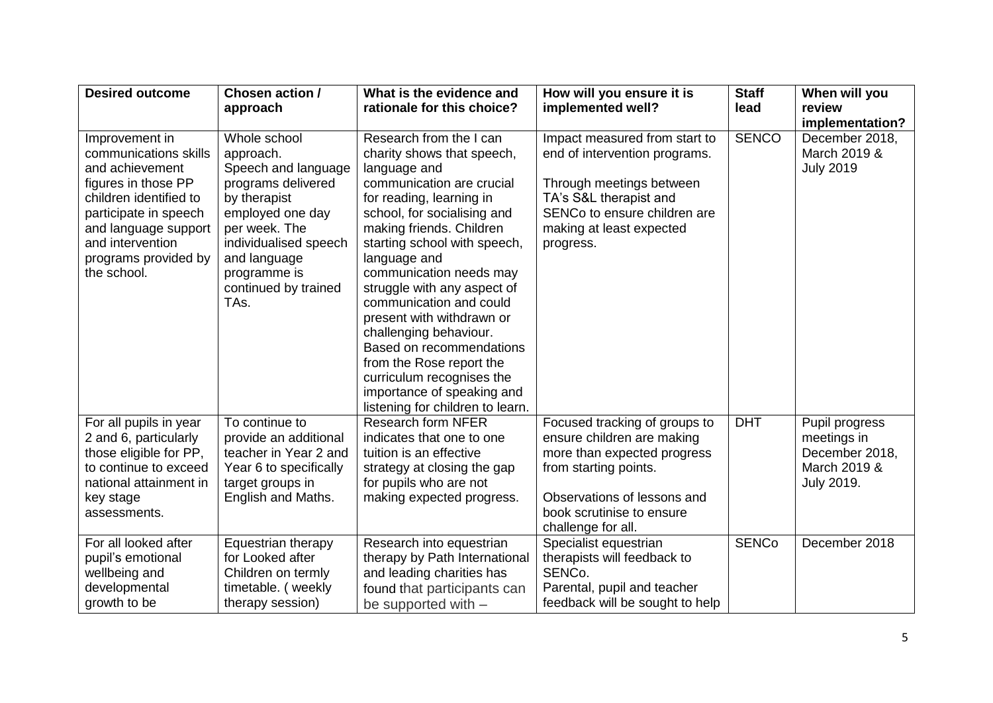| <b>Desired outcome</b>                                                                                                                                                                                                  | Chosen action /                                                                                                                                                                                                      | What is the evidence and                                                                                                                                                                                                                                                                                                                                                                                                                                                                                                                     | How will you ensure it is                                                                                                                                                                             | <b>Staff</b> | When will you                                                                        |
|-------------------------------------------------------------------------------------------------------------------------------------------------------------------------------------------------------------------------|----------------------------------------------------------------------------------------------------------------------------------------------------------------------------------------------------------------------|----------------------------------------------------------------------------------------------------------------------------------------------------------------------------------------------------------------------------------------------------------------------------------------------------------------------------------------------------------------------------------------------------------------------------------------------------------------------------------------------------------------------------------------------|-------------------------------------------------------------------------------------------------------------------------------------------------------------------------------------------------------|--------------|--------------------------------------------------------------------------------------|
|                                                                                                                                                                                                                         | approach                                                                                                                                                                                                             | rationale for this choice?                                                                                                                                                                                                                                                                                                                                                                                                                                                                                                                   | implemented well?                                                                                                                                                                                     | lead         | review                                                                               |
| Improvement in<br>communications skills<br>and achievement<br>figures in those PP<br>children identified to<br>participate in speech<br>and language support<br>and intervention<br>programs provided by<br>the school. | Whole school<br>approach.<br>Speech and language<br>programs delivered<br>by therapist<br>employed one day<br>per week. The<br>individualised speech<br>and language<br>programme is<br>continued by trained<br>TAs. | Research from the I can<br>charity shows that speech,<br>language and<br>communication are crucial<br>for reading, learning in<br>school, for socialising and<br>making friends. Children<br>starting school with speech,<br>language and<br>communication needs may<br>struggle with any aspect of<br>communication and could<br>present with withdrawn or<br>challenging behaviour.<br>Based on recommendations<br>from the Rose report the<br>curriculum recognises the<br>importance of speaking and<br>listening for children to learn. | Impact measured from start to<br>end of intervention programs.<br>Through meetings between<br>TA's S&L therapist and<br>SENCo to ensure children are<br>making at least expected<br>progress.         | <b>SENCO</b> | implementation?<br>December 2018,<br>March 2019 &<br><b>July 2019</b>                |
| For all pupils in year<br>2 and 6, particularly<br>those eligible for PP,<br>to continue to exceed<br>national attainment in<br>key stage<br>assessments.                                                               | To continue to<br>provide an additional<br>teacher in Year 2 and<br>Year 6 to specifically<br>target groups in<br>English and Maths.                                                                                 | <b>Research form NFER</b><br>indicates that one to one<br>tuition is an effective<br>strategy at closing the gap<br>for pupils who are not<br>making expected progress.                                                                                                                                                                                                                                                                                                                                                                      | Focused tracking of groups to<br>ensure children are making<br>more than expected progress<br>from starting points.<br>Observations of lessons and<br>book scrutinise to ensure<br>challenge for all. | <b>DHT</b>   | Pupil progress<br>meetings in<br>December 2018,<br>March 2019 &<br><b>July 2019.</b> |
| For all looked after<br>pupil's emotional<br>wellbeing and<br>developmental<br>growth to be                                                                                                                             | Equestrian therapy<br>for Looked after<br>Children on termly<br>timetable. (weekly<br>therapy session)                                                                                                               | Research into equestrian<br>therapy by Path International<br>and leading charities has<br>found that participants can<br>be supported with -                                                                                                                                                                                                                                                                                                                                                                                                 | Specialist equestrian<br>therapists will feedback to<br>SENCo.<br>Parental, pupil and teacher<br>feedback will be sought to help                                                                      | <b>SENCo</b> | December 2018                                                                        |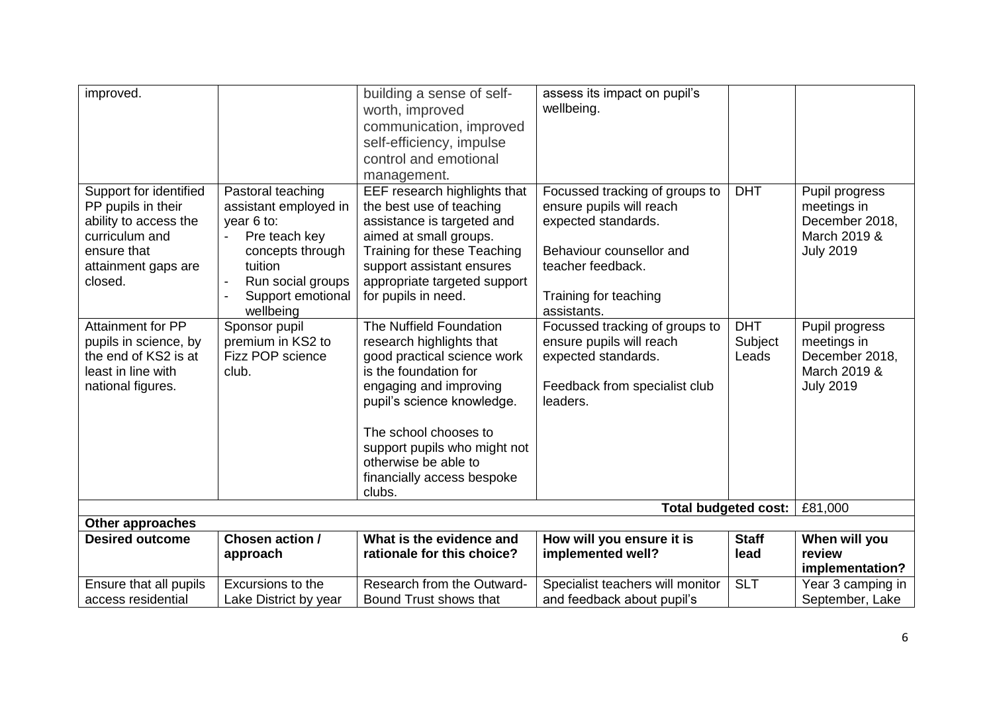| improved.                |                       | building a sense of self-    | assess its impact on pupil's     |              |                   |
|--------------------------|-----------------------|------------------------------|----------------------------------|--------------|-------------------|
|                          |                       | worth, improved              | wellbeing.                       |              |                   |
|                          |                       | communication, improved      |                                  |              |                   |
|                          |                       | self-efficiency, impulse     |                                  |              |                   |
|                          |                       | control and emotional        |                                  |              |                   |
|                          |                       | management.                  |                                  |              |                   |
| Support for identified   | Pastoral teaching     | EEF research highlights that | Focussed tracking of groups to   | <b>DHT</b>   | Pupil progress    |
| PP pupils in their       | assistant employed in | the best use of teaching     | ensure pupils will reach         |              | meetings in       |
| ability to access the    | year 6 to:            | assistance is targeted and   | expected standards.              |              | December 2018,    |
| curriculum and           | Pre teach key         | aimed at small groups.       |                                  |              | March 2019 &      |
| ensure that              | concepts through      | Training for these Teaching  | Behaviour counsellor and         |              | <b>July 2019</b>  |
| attainment gaps are      | tuition               | support assistant ensures    | teacher feedback.                |              |                   |
| closed.                  | Run social groups     | appropriate targeted support |                                  |              |                   |
|                          | Support emotional     | for pupils in need.          | Training for teaching            |              |                   |
|                          | wellbeing             |                              | assistants.                      |              |                   |
| <b>Attainment for PP</b> | Sponsor pupil         | The Nuffield Foundation      | Focussed tracking of groups to   | <b>DHT</b>   | Pupil progress    |
| pupils in science, by    | premium in KS2 to     | research highlights that     | ensure pupils will reach         | Subject      | meetings in       |
| the end of KS2 is at     | Fizz POP science      | good practical science work  | expected standards.              | Leads        | December 2018,    |
| least in line with       | club.                 | is the foundation for        |                                  |              | March 2019 &      |
| national figures.        |                       | engaging and improving       | Feedback from specialist club    |              | <b>July 2019</b>  |
|                          |                       | pupil's science knowledge.   | leaders.                         |              |                   |
|                          |                       | The school chooses to        |                                  |              |                   |
|                          |                       | support pupils who might not |                                  |              |                   |
|                          |                       | otherwise be able to         |                                  |              |                   |
|                          |                       | financially access bespoke   |                                  |              |                   |
|                          |                       | clubs.                       |                                  |              |                   |
|                          |                       |                              | <b>Total budgeted cost:</b>      |              | £81,000           |
| <b>Other approaches</b>  |                       |                              |                                  |              |                   |
| <b>Desired outcome</b>   | Chosen action /       | What is the evidence and     | How will you ensure it is        | <b>Staff</b> | When will you     |
|                          | approach              | rationale for this choice?   | implemented well?                | lead         | review            |
|                          |                       |                              |                                  |              | implementation?   |
| Ensure that all pupils   | Excursions to the     | Research from the Outward-   | Specialist teachers will monitor | <b>SLT</b>   | Year 3 camping in |
| access residential       | Lake District by year | Bound Trust shows that       | and feedback about pupil's       |              | September, Lake   |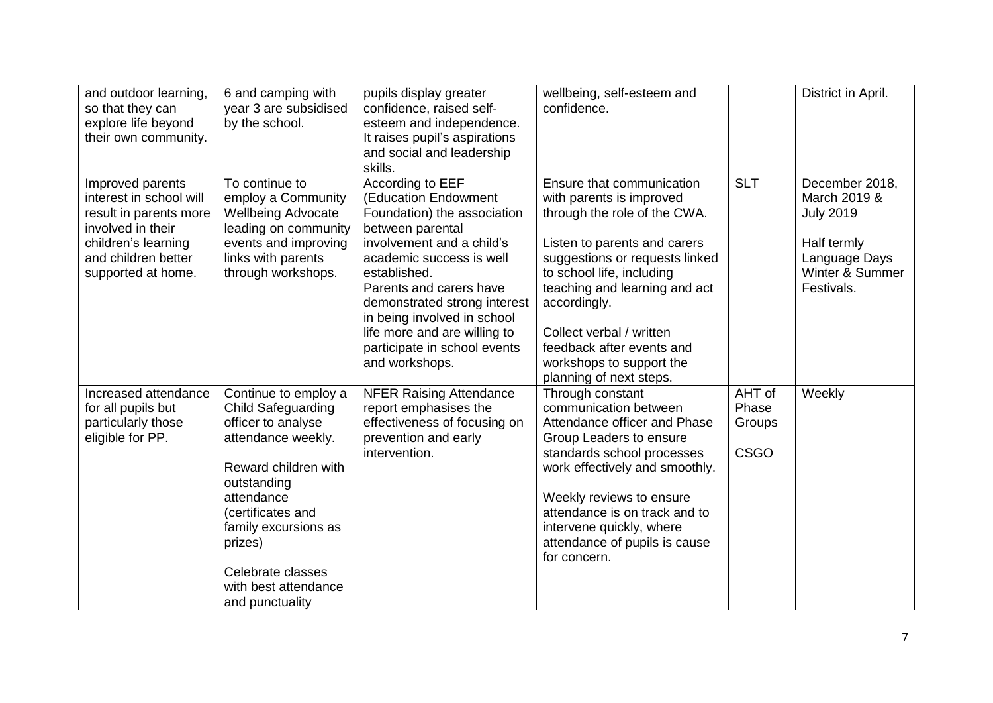| and outdoor learning,<br>so that they can<br>explore life beyond<br>their own community.                                                                       | 6 and camping with<br>year 3 are subsidised<br>by the school.                                                                                                                                                                                                              | pupils display greater<br>confidence, raised self-<br>esteem and independence.<br>It raises pupil's aspirations<br>and social and leadership<br>skills.                                                                                                                                                                                          | wellbeing, self-esteem and<br>confidence.                                                                                                                                                                                                                                                                                                             |                                          | District in April.                                                                                                  |
|----------------------------------------------------------------------------------------------------------------------------------------------------------------|----------------------------------------------------------------------------------------------------------------------------------------------------------------------------------------------------------------------------------------------------------------------------|--------------------------------------------------------------------------------------------------------------------------------------------------------------------------------------------------------------------------------------------------------------------------------------------------------------------------------------------------|-------------------------------------------------------------------------------------------------------------------------------------------------------------------------------------------------------------------------------------------------------------------------------------------------------------------------------------------------------|------------------------------------------|---------------------------------------------------------------------------------------------------------------------|
| Improved parents<br>interest in school will<br>result in parents more<br>involved in their<br>children's learning<br>and children better<br>supported at home. | To continue to<br>employ a Community<br><b>Wellbeing Advocate</b><br>leading on community<br>events and improving<br>links with parents<br>through workshops.                                                                                                              | According to EEF<br>(Education Endowment<br>Foundation) the association<br>between parental<br>involvement and a child's<br>academic success is well<br>established.<br>Parents and carers have<br>demonstrated strong interest<br>in being involved in school<br>life more and are willing to<br>participate in school events<br>and workshops. | Ensure that communication<br>with parents is improved<br>through the role of the CWA.<br>Listen to parents and carers<br>suggestions or requests linked<br>to school life, including<br>teaching and learning and act<br>accordingly.<br>Collect verbal / written<br>feedback after events and<br>workshops to support the<br>planning of next steps. | <b>SLT</b>                               | December 2018,<br>March 2019 &<br><b>July 2019</b><br>Half termly<br>Language Days<br>Winter & Summer<br>Festivals. |
| Increased attendance<br>for all pupils but<br>particularly those<br>eligible for PP.                                                                           | Continue to employ a<br><b>Child Safeguarding</b><br>officer to analyse<br>attendance weekly.<br>Reward children with<br>outstanding<br>attendance<br>(certificates and<br>family excursions as<br>prizes)<br>Celebrate classes<br>with best attendance<br>and punctuality | <b>NFER Raising Attendance</b><br>report emphasises the<br>effectiveness of focusing on<br>prevention and early<br>intervention.                                                                                                                                                                                                                 | Through constant<br>communication between<br>Attendance officer and Phase<br>Group Leaders to ensure<br>standards school processes<br>work effectively and smoothly.<br>Weekly reviews to ensure<br>attendance is on track and to<br>intervene quickly, where<br>attendance of pupils is cause<br>for concern.                                        | AHT of<br>Phase<br>Groups<br><b>CSGO</b> | Weekly                                                                                                              |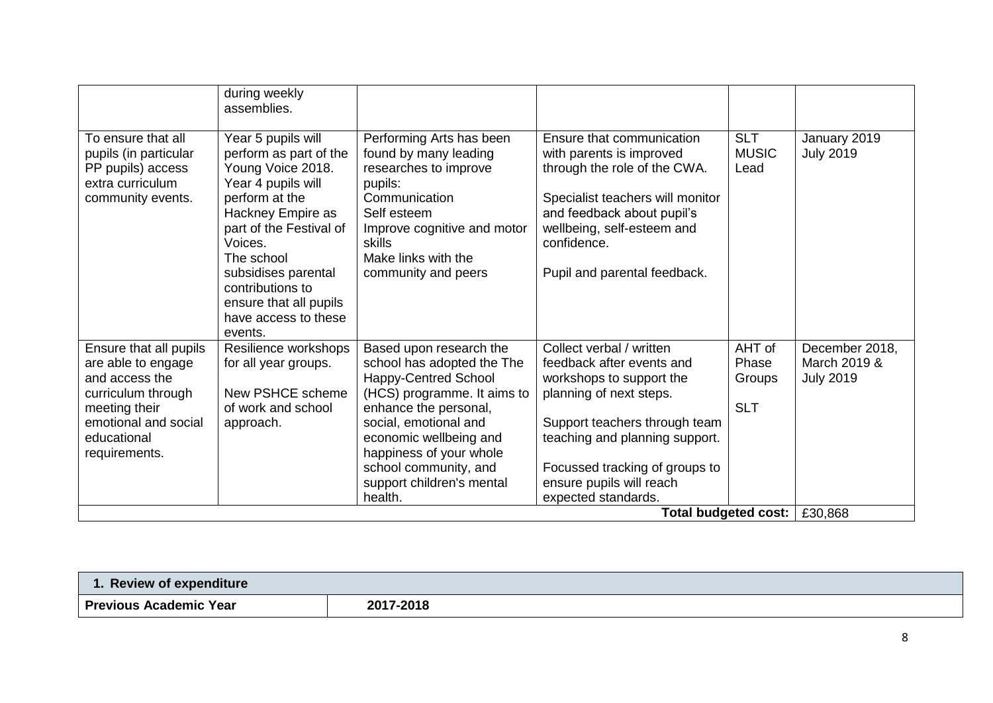|                                                                                                                                                               | during weekly<br>assemblies.                                                                                                                                                                                                                                                               |                                                                                                                                                                                                                                                                                             |                                                                                                                                                                                                                                                                      |                                         |                                                    |
|---------------------------------------------------------------------------------------------------------------------------------------------------------------|--------------------------------------------------------------------------------------------------------------------------------------------------------------------------------------------------------------------------------------------------------------------------------------------|---------------------------------------------------------------------------------------------------------------------------------------------------------------------------------------------------------------------------------------------------------------------------------------------|----------------------------------------------------------------------------------------------------------------------------------------------------------------------------------------------------------------------------------------------------------------------|-----------------------------------------|----------------------------------------------------|
| To ensure that all<br>pupils (in particular<br>PP pupils) access<br>extra curriculum<br>community events.                                                     | Year 5 pupils will<br>perform as part of the<br>Young Voice 2018.<br>Year 4 pupils will<br>perform at the<br>Hackney Empire as<br>part of the Festival of<br>Voices.<br>The school<br>subsidises parental<br>contributions to<br>ensure that all pupils<br>have access to these<br>events. | Performing Arts has been<br>found by many leading<br>researches to improve<br>pupils:<br>Communication<br>Self esteem<br>Improve cognitive and motor<br>skills<br>Make links with the<br>community and peers                                                                                | Ensure that communication<br>with parents is improved<br>through the role of the CWA.<br>Specialist teachers will monitor<br>and feedback about pupil's<br>wellbeing, self-esteem and<br>confidence.<br>Pupil and parental feedback.                                 | <b>SLT</b><br><b>MUSIC</b><br>Lead      | January 2019<br><b>July 2019</b>                   |
| Ensure that all pupils<br>are able to engage<br>and access the<br>curriculum through<br>meeting their<br>emotional and social<br>educational<br>requirements. | Resilience workshops<br>for all year groups.<br>New PSHCE scheme<br>of work and school<br>approach.                                                                                                                                                                                        | Based upon research the<br>school has adopted the The<br><b>Happy-Centred School</b><br>(HCS) programme. It aims to<br>enhance the personal,<br>social, emotional and<br>economic wellbeing and<br>happiness of your whole<br>school community, and<br>support children's mental<br>health. | Collect verbal / written<br>feedback after events and<br>workshops to support the<br>planning of next steps.<br>Support teachers through team<br>teaching and planning support.<br>Focussed tracking of groups to<br>ensure pupils will reach<br>expected standards. | AHT of<br>Phase<br>Groups<br><b>SLT</b> | December 2018,<br>March 2019 &<br><b>July 2019</b> |
|                                                                                                                                                               |                                                                                                                                                                                                                                                                                            |                                                                                                                                                                                                                                                                                             |                                                                                                                                                                                                                                                                      | <b>Total budgeted cost:</b>             | £30,868                                            |

| <b>Review of expenditure</b>  |           |  |
|-------------------------------|-----------|--|
| <b>Previous Academic Year</b> | 2017-2018 |  |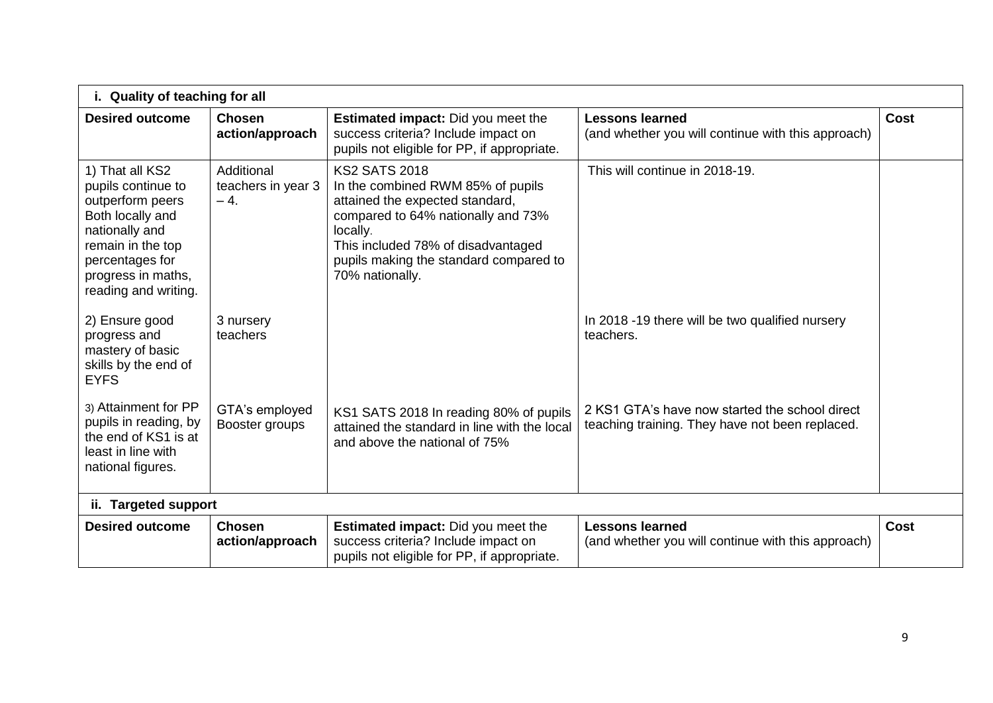| i. Quality of teaching for all                                                                                                                                                        |                                           |                                                                                                                                                                                                                                                   |                                                                                                   |             |  |  |  |
|---------------------------------------------------------------------------------------------------------------------------------------------------------------------------------------|-------------------------------------------|---------------------------------------------------------------------------------------------------------------------------------------------------------------------------------------------------------------------------------------------------|---------------------------------------------------------------------------------------------------|-------------|--|--|--|
| <b>Desired outcome</b>                                                                                                                                                                | <b>Chosen</b><br>action/approach          | <b>Estimated impact:</b> Did you meet the<br>success criteria? Include impact on<br>pupils not eligible for PP, if appropriate.                                                                                                                   | <b>Lessons learned</b><br>(and whether you will continue with this approach)                      | Cost        |  |  |  |
| 1) That all KS2<br>pupils continue to<br>outperform peers<br>Both locally and<br>nationally and<br>remain in the top<br>percentages for<br>progress in maths,<br>reading and writing. | Additional<br>teachers in year 3<br>$-4.$ | <b>KS2 SATS 2018</b><br>In the combined RWM 85% of pupils<br>attained the expected standard,<br>compared to 64% nationally and 73%<br>locally.<br>This included 78% of disadvantaged<br>pupils making the standard compared to<br>70% nationally. | This will continue in 2018-19.                                                                    |             |  |  |  |
| 2) Ensure good<br>progress and<br>mastery of basic<br>skills by the end of<br><b>EYFS</b>                                                                                             | 3 nursery<br>teachers                     |                                                                                                                                                                                                                                                   | In 2018 -19 there will be two qualified nursery<br>teachers.                                      |             |  |  |  |
| 3) Attainment for PP<br>pupils in reading, by<br>the end of KS1 is at<br>least in line with<br>national figures.                                                                      | GTA's employed<br>Booster groups          | KS1 SATS 2018 In reading 80% of pupils<br>attained the standard in line with the local<br>and above the national of 75%                                                                                                                           | 2 KS1 GTA's have now started the school direct<br>teaching training. They have not been replaced. |             |  |  |  |
| ii. Targeted support                                                                                                                                                                  |                                           |                                                                                                                                                                                                                                                   |                                                                                                   |             |  |  |  |
| <b>Desired outcome</b>                                                                                                                                                                | <b>Chosen</b><br>action/approach          | <b>Estimated impact:</b> Did you meet the<br>success criteria? Include impact on<br>pupils not eligible for PP, if appropriate.                                                                                                                   | <b>Lessons learned</b><br>(and whether you will continue with this approach)                      | <b>Cost</b> |  |  |  |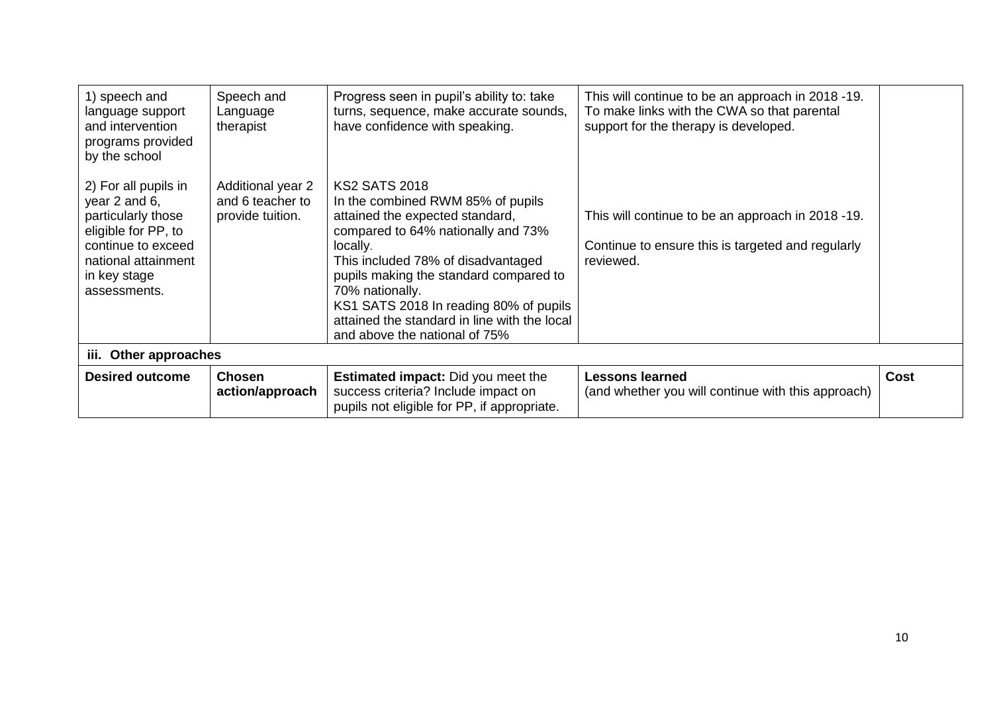| 1) speech and<br>language support<br>and intervention<br>programs provided<br>by the school                                                                     | Speech and<br>Language<br>therapist                       | Progress seen in pupil's ability to: take<br>turns, sequence, make accurate sounds,<br>have confidence with speaking.                                                                                                                                                                                                                                                        | This will continue to be an approach in 2018 -19.<br>To make links with the CWA so that parental<br>support for the therapy is developed. |             |  |  |  |
|-----------------------------------------------------------------------------------------------------------------------------------------------------------------|-----------------------------------------------------------|------------------------------------------------------------------------------------------------------------------------------------------------------------------------------------------------------------------------------------------------------------------------------------------------------------------------------------------------------------------------------|-------------------------------------------------------------------------------------------------------------------------------------------|-------------|--|--|--|
| 2) For all pupils in<br>year 2 and 6,<br>particularly those<br>eligible for PP, to<br>continue to exceed<br>national attainment<br>in key stage<br>assessments. | Additional year 2<br>and 6 teacher to<br>provide tuition. | <b>KS2 SATS 2018</b><br>In the combined RWM 85% of pupils<br>attained the expected standard,<br>compared to 64% nationally and 73%<br>locally.<br>This included 78% of disadvantaged<br>pupils making the standard compared to<br>70% nationally.<br>KS1 SATS 2018 In reading 80% of pupils<br>attained the standard in line with the local<br>and above the national of 75% | This will continue to be an approach in 2018 -19.<br>Continue to ensure this is targeted and regularly<br>reviewed.                       |             |  |  |  |
| iii. Other approaches                                                                                                                                           |                                                           |                                                                                                                                                                                                                                                                                                                                                                              |                                                                                                                                           |             |  |  |  |
| <b>Desired outcome</b>                                                                                                                                          | <b>Chosen</b><br>action/approach                          | <b>Estimated impact:</b> Did you meet the<br>success criteria? Include impact on<br>pupils not eligible for PP, if appropriate.                                                                                                                                                                                                                                              | <b>Lessons learned</b><br>(and whether you will continue with this approach)                                                              | <b>Cost</b> |  |  |  |